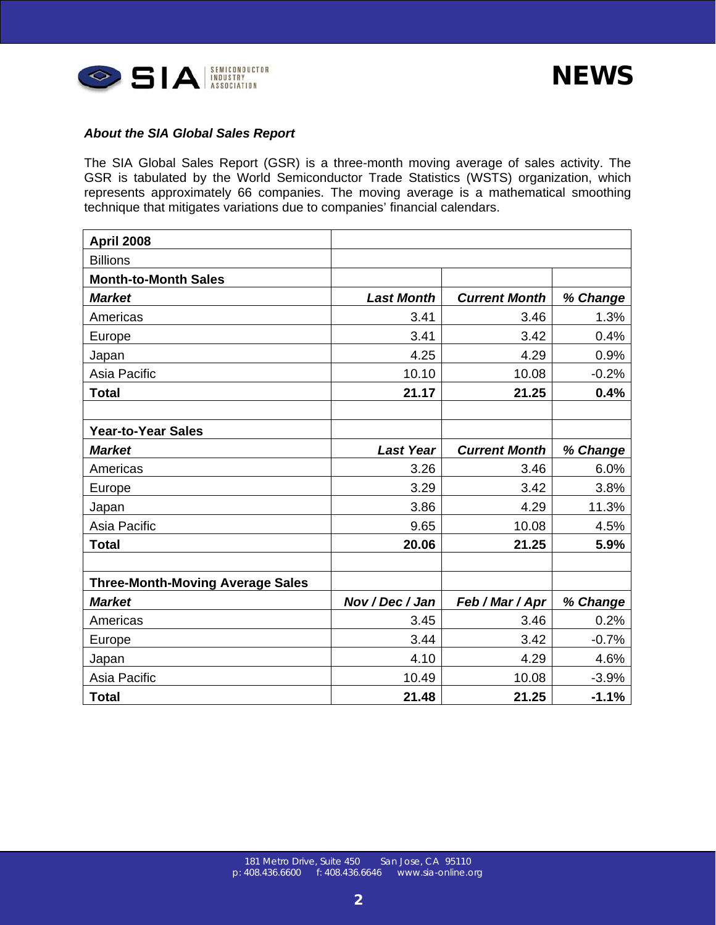| <b>April 2008</b>                       |                   |                      |          |
|-----------------------------------------|-------------------|----------------------|----------|
| <b>Billions</b>                         |                   |                      |          |
| <b>Month-to-Month Sales</b>             |                   |                      |          |
| <b>Market</b>                           | <b>Last Month</b> | <b>Current Month</b> | % Change |
| Americas                                | 3.41              | 3.46                 | 1.3%     |
| Europe                                  | 3.41              | 3.42                 | 0.4%     |
| Japan                                   | 4.25              | 4.29                 | 0.9%     |
| Asia Pacific                            | 10.10             | 10.08                | $-0.2%$  |
| <b>Total</b>                            | 21.17             | 21.25                | 0.4%     |
|                                         |                   |                      |          |
| <b>Year-to-Year Sales</b>               |                   |                      |          |
| <b>Market</b>                           | <b>Last Year</b>  | <b>Current Month</b> | % Change |
| Americas                                | 3.26              | 3.46                 | 6.0%     |
| Europe                                  | 3.29              | 3.42                 | 3.8%     |
| Japan                                   | 3.86              | 4.29                 | 11.3%    |
| Asia Pacific                            | 9.65              | 10.08                | 4.5%     |
| <b>Total</b>                            | 20.06             | 21.25                | 5.9%     |
|                                         |                   |                      |          |
| <b>Three-Month-Moving Average Sales</b> |                   |                      |          |
| <b>Market</b>                           | Nov / Dec / Jan   | Feb / Mar / Apr      | % Change |
| Americas                                | 3.45              | 3.46                 | 0.2%     |
| Europe                                  | 3.44              | 3.42                 | $-0.7%$  |
| Japan                                   | 4.10              | 4.29                 | 4.6%     |
| Asia Pacific                            | 10.49             | 10.08                | $-3.9%$  |
| <b>Total</b>                            | 21.48             | 21.25                | $-1.1%$  |